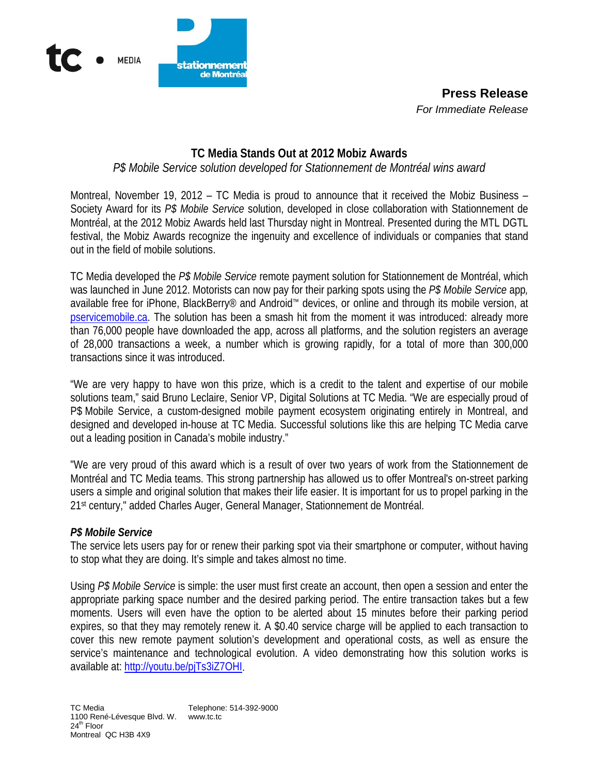

**Press Release**  *For Immediate Release*

# **TC Media Stands Out at 2012 Mobiz Awards**

# *P\$ Mobile Service solution developed for Stationnement de Montréal wins award*

Montreal, November 19, 2012 – TC Media is proud to announce that it received the Mobiz Business – Society Award for its *P\$ Mobile Service* solution, developed in close collaboration with Stationnement de Montréal, at the 2012 Mobiz Awards held last Thursday night in Montreal. Presented during the MTL DGTL festival, the Mobiz Awards recognize the ingenuity and excellence of individuals or companies that stand out in the field of mobile solutions.

TC Media developed the *P\$ Mobile Service* remote payment solution for Stationnement de Montréal, which was launched in June 2012. Motorists can now pay for their parking spots using the *P\$ Mobile Service* app*,*  available free for iPhone, BlackBerry® and Android™ devices, or online and through its mobile version, at [pservicemobile.ca.](http://www.pservicemobile.ca/) The solution has been a smash hit from the moment it was introduced: already more than 76,000 people have downloaded the app, across all platforms, and the solution registers an average of 28,000 transactions a week, a number which is growing rapidly, for a total of more than 300,000 transactions since it was introduced.

"We are very happy to have won this prize, which is a credit to the talent and expertise of our mobile solutions team," said Bruno Leclaire, Senior VP, Digital Solutions at TC Media. "We are especially proud of P\$ Mobile Service, a custom-designed mobile payment ecosystem originating entirely in Montreal, and designed and developed in-house at TC Media. Successful solutions like this are helping TC Media carve out a leading position in Canada's mobile industry."

"We are very proud of this award which is a result of over two years of work from the Stationnement de Montréal and TC Media teams. This strong partnership has allowed us to offer Montreal's on-street parking users a simple and original solution that makes their life easier. It is important for us to propel parking in the 21st century," added Charles Auger, General Manager, Stationnement de Montréal.

#### *P\$ Mobile Service*

The service lets users pay for or renew their parking spot via their smartphone or computer, without having to stop what they are doing. It's simple and takes almost no time.

Using *P\$ Mobile Service* is simple: the user must first create an account, then open a session and enter the appropriate parking space number and the desired parking period. The entire transaction takes but a few moments. Users will even have the option to be alerted about 15 minutes before their parking period expires, so that they may remotely renew it. A \$0.40 service charge will be applied to each transaction to cover this new remote payment solution's development and operational costs, as well as ensure the service's maintenance and technological evolution. A video demonstrating how this solution works is available at: [http://youtu.be/pjTs3iZ7OHI.](http://youtu.be/pjTs3iZ7OHI)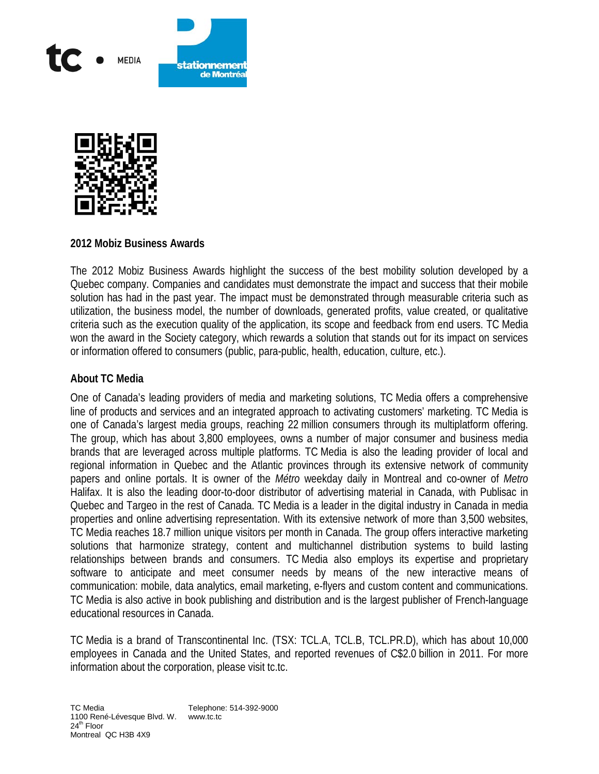



#### **2012 Mobiz Business Awards**

The 2012 Mobiz Business Awards highlight the success of the best mobility solution developed by a Quebec company. Companies and candidates must demonstrate the impact and success that their mobile solution has had in the past year. The impact must be demonstrated through measurable criteria such as utilization, the business model, the number of downloads, generated profits, value created, or qualitative criteria such as the execution quality of the application, its scope and feedback from end users. TC Media won the award in the Society category, which rewards a solution that stands out for its impact on services or information offered to consumers (public, para-public, health, education, culture, etc.).

## **About TC Media**

One of Canada's leading providers of media and marketing solutions, TC Media offers a comprehensive line of products and services and an integrated approach to activating customers' marketing. TC Media is one of Canada's largest media groups, reaching 22 million consumers through its multiplatform offering. The group, which has about 3,800 employees, owns a number of major consumer and business media brands that are leveraged across multiple platforms. TC Media is also the leading provider of local and regional information in Quebec and the Atlantic provinces through its extensive network of community papers and online portals. It is owner of the *Métro* weekday daily in Montreal and co-owner of *Metro* Halifax. It is also the leading door-to-door distributor of advertising material in Canada, with Publisac in Quebec and Targeo in the rest of Canada. TC Media is a leader in the digital industry in Canada in media properties and online advertising representation. With its extensive network of more than 3,500 websites, TC Media reaches 18.7 million unique visitors per month in Canada. The group offers interactive marketing solutions that harmonize strategy, content and multichannel distribution systems to build lasting relationships between brands and consumers. TC Media also employs its expertise and proprietary software to anticipate and meet consumer needs by means of the new interactive means of communication: mobile, data analytics, email marketing, e-flyers and custom content and communications. TC Media is also active in book publishing and distribution and is the largest publisher of French-language educational resources in Canada.

TC Media is a brand of Transcontinental Inc. (TSX: TCL.A, TCL.B, TCL.PR.D), which has about 10,000 employees in Canada and the United States, and reported revenues of C\$2.0 billion in 2011. For more information about the corporation, please visit tc.tc.